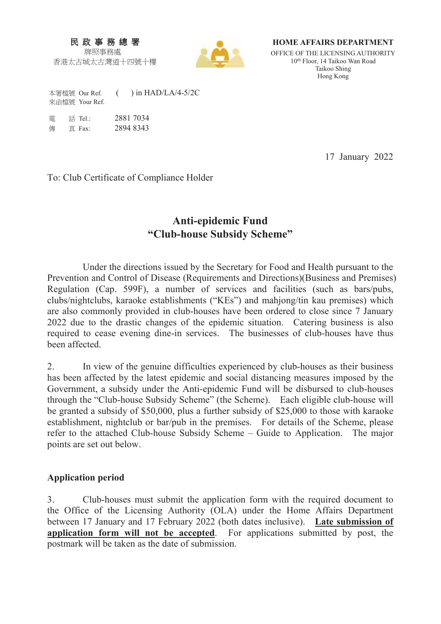### 民 政 事 務 總 署 牌照事務處

香港太古城太古灣道十四號十樓



**HOME AFFAIRS DEPARTMENT** 

OFFICE OF THE LICENSING AUTHORITY 10th Floor, 14 Taikoo Wan Road Taikoo Shing Hong Kong

本署檔號 Our Ref. ( ) in HAD/LA/4-5/2C 來函檔號 Your Ref.

| 雷 | 話 Tel.: | 2881 7034 |
|---|---------|-----------|
| 俥 | 直 Fax:  | 2894 8343 |

17 January 2022

To: Club Certificate of Compliance Holder

# **Anti-epidemic Fund "Club-house Subsidy Scheme"**

 Under the directions issued by the Secretary for Food and Health pursuant to the Prevention and Control of Disease (Requirements and Directions)(Business and Premises) Regulation (Cap. 599F), a number of services and facilities (such as bars/pubs, clubs/nightclubs, karaoke establishments ("KEs") and mahjong/tin kau premises) which are also commonly provided in club-houses have been ordered to close since 7 January 2022 due to the drastic changes of the epidemic situation. Catering business is also required to cease evening dine-in services. The businesses of club-houses have thus been affected.

2. In view of the genuine difficulties experienced by club-houses as their business has been affected by the latest epidemic and social distancing measures imposed by the Government, a subsidy under the Anti-epidemic Fund will be disbursed to club-houses through the "Club-house Subsidy Scheme" (the Scheme). Each eligible club-house will be granted a subsidy of \$50,000, plus a further subsidy of \$25,000 to those with karaoke establishment, nightclub or bar/pub in the premises. For details of the Scheme, please refer to the attached Club-house Subsidy Scheme – Guide to Application. The major points are set out below.

### **Application period**

3. Club-houses must submit the application form with the required document to the Office of the Licensing Authority (OLA) under the Home Affairs Department between 17 January and 17 February 2022 (both dates inclusive). **Late submission of application form will not be accepted**. For applications submitted by post, the postmark will be taken as the date of submission.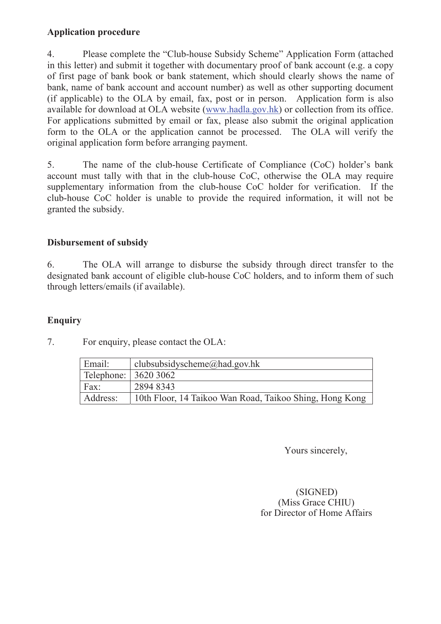### **Application procedure**

4. Please complete the "Club-house Subsidy Scheme" Application Form (attached in this letter) and submit it together with documentary proof of bank account (e.g. a copy of first page of bank book or bank statement, which should clearly shows the name of bank, name of bank account and account number) as well as other supporting document (if applicable) to the OLA by email, fax, post or in person. Application form is also available for download at OLA website (www.hadla.gov.hk) or collection from its office. For applications submitted by email or fax, please also submit the original application form to the OLA or the application cannot be processed. The OLA will verify the original application form before arranging payment.

5. The name of the club-house Certificate of Compliance (CoC) holder's bank account must tally with that in the club-house CoC, otherwise the OLA may require supplementary information from the club-house CoC holder for verification. If the club-house CoC holder is unable to provide the required information, it will not be granted the subsidy.

### **Disbursement of subsidy**

6. The OLA will arrange to disburse the subsidy through direct transfer to the designated bank account of eligible club-house CoC holders, and to inform them of such through letters/emails (if available).

Address: 10th Floor, 14 Taikoo Wan Road, Taikoo Shing, Hong Kong

### **Enquiry**

|                               | The emphasis contract the OLIX. |
|-------------------------------|---------------------------------|
| Email:                        | clubsubsidyscheme@had.gov.hk    |
| Telephone: $ 36203062\rangle$ |                                 |

7. For enquiry, please contact the OLA:

Fax: 2894 8343

Yours sincerely,

### (SIGNED) (Miss Grace CHIU) for Director of Home Affairs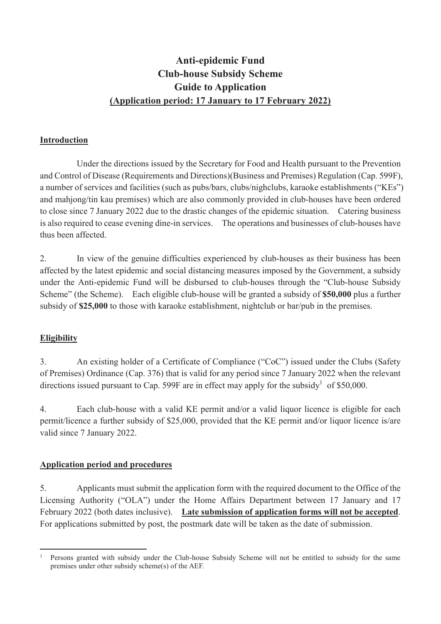# **Anti-epidemic Fund Club-house Subsidy Scheme Guide to Application (Application period: 17 January to 17 February 2022)**

### **Introduction**

 Under the directions issued by the Secretary for Food and Health pursuant to the Prevention and Control of Disease (Requirements and Directions)(Business and Premises) Regulation (Cap. 599F), a number of services and facilities (such as pubs/bars, clubs/nighclubs, karaoke establishments ("KEs") and mahjong/tin kau premises) which are also commonly provided in club-houses have been ordered to close since 7 January 2022 due to the drastic changes of the epidemic situation. Catering business is also required to cease evening dine-in services. The operations and businesses of club-houses have thus been affected.

2. In view of the genuine difficulties experienced by club-houses as their business has been affected by the latest epidemic and social distancing measures imposed by the Government, a subsidy under the Anti-epidemic Fund will be disbursed to club-houses through the "Club-house Subsidy Scheme" (the Scheme). Each eligible club-house will be granted a subsidy of **\$50,000** plus a further subsidy of **\$25,000** to those with karaoke establishment, nightclub or bar/pub in the premises.

### **Eligibility**

3. An existing holder of a Certificate of Compliance ("CoC") issued under the Clubs (Safety of Premises) Ordinance (Cap. 376) that is valid for any period since 7 January 2022 when the relevant directions issued pursuant to Cap. 599F are in effect may apply for the subsidy<sup>1</sup> of \$50,000.

4. Each club-house with a valid KE permit and/or a valid liquor licence is eligible for each permit/licence a further subsidy of \$25,000, provided that the KE permit and/or liquor licence is/are valid since 7 January 2022.

### **Application period and procedures**

5. Applicants must submit the application form with the required document to the Office of the Licensing Authority ("OLA") under the Home Affairs Department between 17 January and 17 February 2022 (both dates inclusive). **Late submission of application forms will not be accepted**. For applications submitted by post, the postmark date will be taken as the date of submission.

<sup>.</sup> 1 Persons granted with subsidy under the Club-house Subsidy Scheme will not be entitled to subsidy for the same premises under other subsidy scheme(s) of the AEF.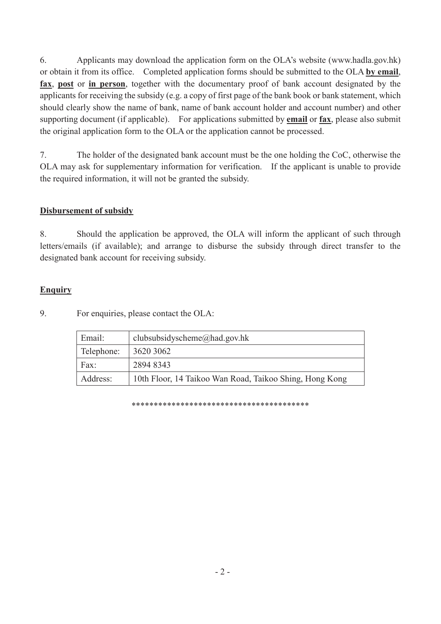6. Applicants may download the application form on the OLA's website (www.hadla.gov.hk) or obtain it from its office. Completed application forms should be submitted to the OLA **by email**, **fax**, **post** or **in person**, together with the documentary proof of bank account designated by the applicants for receiving the subsidy (e.g. a copy of first page of the bank book or bank statement, which should clearly show the name of bank, name of bank account holder and account number) and other supporting document (if applicable). For applications submitted by **email** or **fax**, please also submit the original application form to the OLA or the application cannot be processed.

7. The holder of the designated bank account must be the one holding the CoC, otherwise the OLA may ask for supplementary information for verification. If the applicant is unable to provide the required information, it will not be granted the subsidy.

### **Disbursement of subsidy**

8. Should the application be approved, the OLA will inform the applicant of such through letters/emails (if available); and arrange to disburse the subsidy through direct transfer to the designated bank account for receiving subsidy.

### **Enquiry**

9. For enquiries, please contact the OLA:

| Email:     | clubsubsidyscheme@had.gov.hk                            |
|------------|---------------------------------------------------------|
| Telephone: | 3620 3062                                               |
| Fax:       | 2894 8343                                               |
| Address:   | 10th Floor, 14 Taikoo Wan Road, Taikoo Shing, Hong Kong |

\*\*\*\*\*\*\*\*\*\*\*\*\*\*\*\*\*\*\*\*\*\*\*\*\*\*\*\*\*\*\*\*\*\*\*\*\*\*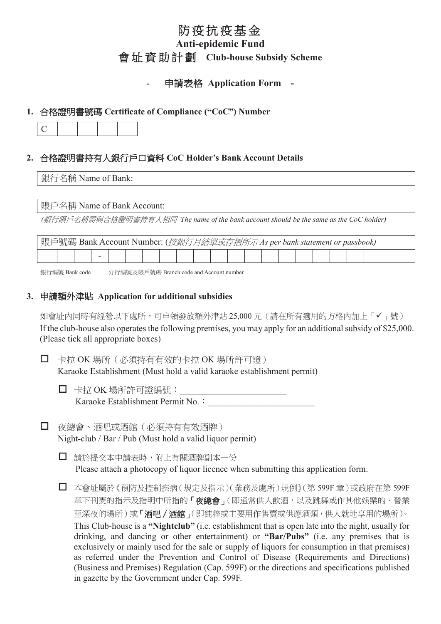# 防疫抗疫基金

## **Anti-epidemic Fund 會址資助計劃 Club-house Subsidy Scheme**

### 中請表格 Application Form -

### **1.** ⎰㟤嫱㖶㚠嘇䡤 **Certificate of Compliance ("CoC") Number**

|--|--|

### **2.** ⎰㟤嫱㖶㚠㊩㚱Ṣ戨埴㇞⎋屯㕁 **CoC Holder's Bank Account Details**

### 銀行名稱 Name of Bank:

### 賬戶名稱 Name of Bank Account:

(銀行賬戶名稱需與合格證明書持有人相同 The name of the bank account should be the same as the CoC holder)

| 賬戶號碼 Bank Account Number: ( <i>按銀行月結單或存摺所示 As per bank statement or passbook)</i> |  |  |  |  |  |  |  |  |  |  |  |  |  |  |  |  |  |  |  |  |
|-----------------------------------------------------------------------------------|--|--|--|--|--|--|--|--|--|--|--|--|--|--|--|--|--|--|--|--|
|                                                                                   |  |  |  |  |  |  |  |  |  |  |  |  |  |  |  |  |  |  |  |  |

銀行編號 Bank code 分行編號及帳戶號碼 Branch code and Account number

### **3.** 䓛婳柵⢾㳍層 **Application for additional subsidies**

如會址內同時有經營以下處所,可申領發放額外津貼 25,000 元 (請在所有適用的方格內加上「✔」號) If the club-house also operates the following premises, you may apply for an additional subsidy of \$25,000. (Please tick all appropriate boxes)

□ 卡拉 OK 場所 (必須持有有效的卡拉 OK 場所許可證) Karaoke Establishment (Must hold a valid karaoke establishment permit)

- □ 卡拉 OK 場所許可證編號: Karaoke Establishment Permit No. :
- □ 夜總會、酒吧或酒館(必須持有有效酒牌) Night-club / Bar / Pub (Must hold a valid liquor permit)

□ 請於提交本申請表時,附上有關酒牌副本一份 Please attach a photocopy of liquor licence when submitting this application form.

□ 本會址屬於《預防及控制疾病 (規定及指示)(業務及處所)規例》(第599F 章)或政府在第599F 章下刊憲的指示及指明中所指的「夜總會」(即通常供人飲酒,以及跳舞或作其他娛樂的、營業 至深夜的場所)或「酒吧 / 酒館」(即純粹或主要用作售賣或供應酒類,供人就地享用的場所)。 This Club-house is a **"Nightclub"** (i.e. establishment that is open late into the night, usually for drinking, and dancing or other entertainment) or **"Bar/Pubs"** (i.e. any premises that is exclusively or mainly used for the sale or supply of liquors for consumption in that premises) as referred under the Prevention and Control of Disease (Requirements and Directions) (Business and Premises) Regulation (Cap. 599F) or the directions and specifications published in gazette by the Government under Cap. 599F.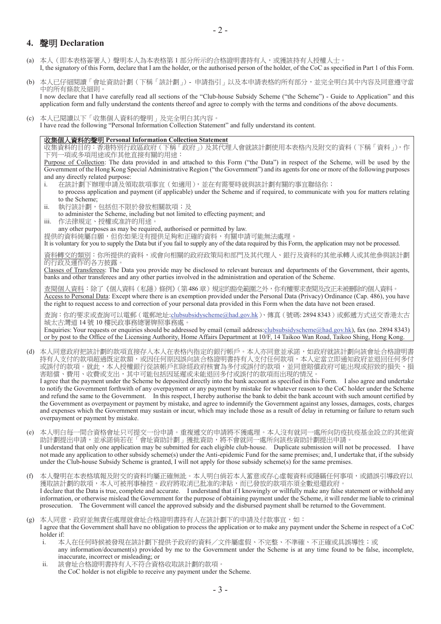### **聲明 Declaration**

- (a) 本人(即本表格簽署人)聲明本人為本表格第1部分所示的合格證明書持有人,或獲該持有人授權人士。 I, the signatory of this Form, declare that I am the holder, or the authorised person of the holder, of the CoC as specified in Part 1 of this Form.
- (b) 本人已仔細閱讀「會址資助計劃(下稱「該計劃」) 申請指引」以及本申請表格的所有部分,並完全明白其中內容及同意遵守當 中的所有條款及細則。 I now declare that I have carefully read all sections of the "Club-house Subsidy Scheme ("the Scheme") - Guide to Application" and this application form and fully understand the contents thereof and agree to comply with the terms and conditions of the above documents.
- (c) 本人已閱讀以下「收集個人資料的聲明」及完全明白其內容。 I have read the following "Personal Information Collection Statement" and fully understand its content.

#### 㓞普ᾳṢ屯瀌䘬倚㖶 **Personal Information Collection Statement**

收集資料的目的:香港特別行政區政府(下稱「政府」)及其代理人會就該計劃使用本表格內及附交的資料(下稱「資料」),作 下列一項或多項用途或作其他直接有關的用途:

Purpose of Collection: The data provided in and attached to this Form ("the Data") in respect of the Scheme, will be used by the Government of the Hong Kong Special Administrative Region ("the Government") and its agents for one or more of the following purposes and any directly related purpose:

- i. 在該計劃下辦理申請及領取款項事宜(如適用),並在有需要時就與該計劃有關的事宜聯絡你; to process application and payment (if applicable) under the Scheme and if required, to communicate with you for matters relating to the Scheme;
- ii. 執行該計劃,包括但不限於發放相關款項;及
- to administer the Scheme, including but not limited to effecting payment; and
- iii. 作法律規定、授權或准許的用途。

any other purposes as may be required, authorised or permitted by law.

提供的資料純屬白願,但你如果沒有提供足夠和正確的資料,有關申請可能無法處理。

It is voluntary for you to supply the Data but if you fail to supply any of the data required by this Form, the application may not be processed.

資料轉交的類別:你所提供的資料,或會向相關的政府政策局和部門及其代理人、銀行及資料的其他承轉人或其他參與該計劃 的行政及運作的各方披露。

Classes of Transferees: The Data you provide may be disclosed to relevant bureaux and departments of the Government, their agents, banks and other transferees and any other parties involved in the administration and operation of the Scheme.

查閱個人資料:除了《個人資料(私隱)條例》(第486章)規定的豁免範圍之外,你有權要求查閱及改正未被刪除的個人資料。 Access to Personal Data: Except where there is an exemption provided under the Personal Data (Privacy) Ordinance (Cap. 486), you have the right to request access to and correction of your personal data provided in this Form when the data have not been erased.

查詢:你的要求或查詢可以電郵(電郵地址:clubsubsidyscheme@had.gov.hk)、傳真(號碼:2894 8343)或郵遞方式送交香港太古 城太古灣道14號 10 樓民政事務總署牌照事務處。

Enquiries: Your requests or enquiries should be addressed by email (email address:clubsubsidyscheme@had.gov.hk), fax (no. 2894 8343) or by post to the Office of the Licensing Authority, Home Affairs Department at 10/F, 14 Taikoo Wan Road, Taikoo Shing, Hong Kong.

(d) 本人同意政府把該計劃的款項直接存入本人在表格內指定的銀行帳戶。本人亦同意並承諾,如政府就該計劃向該會址合格證明書 持有人支付的款項超過既定約蒋,或因任何原因誤向該合格證明書持有人支付任何款項,本人定當立即通知政府並退回任何多付 或誤付的款項。就此,本人授權銀行從該帳戶扣除經政府核實為多付或誤付的款項,並同意賠償政府可能出現或招致的損失、損 害賠償、費用、收費或支出,其中可能包括因延遲或未能退回多付或誤付的款項而出現的情況。 I agree that the payment under the Scheme be deposited directly into the bank account as specified in this Form. I also agree and undertake

to notify the Government forthwith of any overpayment or any payment by mistake for whatever reason to the CoC holder under the Scheme and refund the same to the Government. In this respect, I hereby authorise the bank to debit the bank account with such amount certified by the Government as overpayment or payment by mistake, and agree to indemnify the Government against any losses, damages, costs, charges and expenses which the Government may sustain or incur, which may include those as a result of delay in returning or failure to return such overpayment or payment by mistake.

- (e) 本人明白每一間合資格會址只可提交一份申請。重複遞交的申請將不獲處理。本人沒有就同一處所向防疫抗疫基金設立的其他資 ≑妰∫㍸↢䓛婳炻᷎㈧媦῀劍⛐ˬ㚫⛨屯≑妰∫˭䌚㈡屯≑炻⮯ᶵ㚫⯙⎴ᶨ嗽⎹娚ṃ屯≑妰∫㍸↢䓛婳ˤ I understand that only one application may be submitted for each eligible club-house. Duplicate submission will not be processed. I have not made any application to other subsidy scheme(s) under the Anti-epidemic Fund for the same premises; and, I undertake that, if the subsidy under the Club-house Subsidy Scheme is granted, I will not apply for those subsidy scheme(s) for the same premises.
- (f) 本人聲明在本表格填報及附交的資料均屬正確無訛。本人明白倘若本人蓄意或存心虛報資料或隱瞞任何事項,或錯誤引導政府以 獲取該計劃的款項,本人可被刑事檢控。政府將取消已批准的津貼,而已發放的款項亦須全數退還政府。 I declare that the Data is true, complete and accurate. I understand that if I knowingly or willfully make any false statement or withhold any information, or otherwise mislead the Government for the purpose of obtaining payment under the Scheme, it will render me liable to criminal prosecution. The Government will cancel the approved subsidy and the disbursed payment shall be returned to the Government.
- (g) 本人同意,政府並無責任處理就會址合格證明書持有人在該計劃下的申請及付款事官,如: I agree that the Government shall have no obligation to process the application or to make any payment under the Scheme in respect of a CoC holder if:
	- i. 本人在任何時候被發現在該計劃下提供予政府的資料/文件屬虛假、不完整、不準確、不正確或具誤導性;或 any information/document(s) provided by me to the Government under the Scheme is at any time found to be false, incomplete,
	- inaccurate, incorrect or misleading; or ii. 該會址合格證明書持有人不符合資格收取該計劃的款項。 the CoC holder is not eligible to receive any payment under the Scheme.